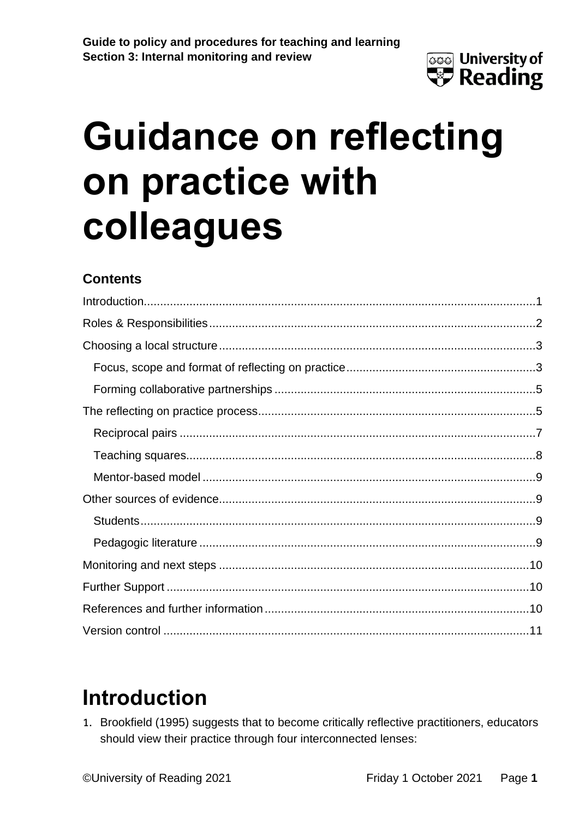

### **Contents**

# <span id="page-0-0"></span>**Introduction**

1. Brookfield (1995) suggests that to become critically reflective practitioners, educators should view their practice through four interconnected lenses: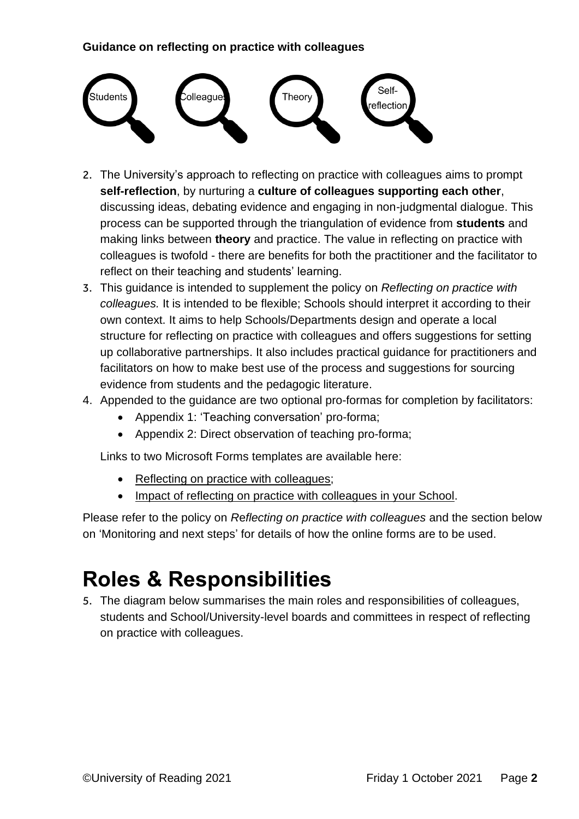

- 2. The University's approach to reflecting on practice with colleagues aims to prompt **self-reflection**, by nurturing a **culture of colleagues supporting each other**, discussing ideas, debating evidence and engaging in non-judgmental dialogue. This process can be supported through the triangulation of evidence from **students** and making links between **theory** and practice. The value in reflecting on practice with colleagues is twofold - there are benefits for both the practitioner and the facilitator to reflect on their teaching and students' learning.
- 3. This guidance is intended to supplement the policy on *Reflecting on practice with colleagues.* It is intended to be flexible; Schools should interpret it according to their own context. It aims to help Schools/Departments design and operate a local structure for reflecting on practice with colleagues and offers suggestions for setting up collaborative partnerships. It also includes practical guidance for practitioners and facilitators on how to make best use of the process and suggestions for sourcing evidence from students and the pedagogic literature.
- 4. Appended to the guidance are two optional pro-formas for completion by facilitators:
	- Appendix 1: 'Teaching conversation' pro-forma;
	- Appendix 2: Direct observation of teaching pro-forma;

Links to two Microsoft Forms templates are available here:

- [Reflecting on practice with colleagues;](https://forms.office.com/Pages/ShareFormPage.aspx?id=xDv6T_zswEiQgPXkP_kOX8joLPqrbCtHo9tC_hP_qW5URjE4U0o5RlhXTk1EM1ZQMUxGMUtEUFRTOS4u&sharetoken=0dYtsuNfJAZLb2Z5Op70&wdLOR=c389980F3-C417-4430-A564-FF8DCF4D3378)
- [Impact of reflecting on practice with colleagues in your School.](https://forms.office.com/Pages/ShareFormPage.aspx?id=xDv6T_zswEiQgPXkP_kOX8joLPqrbCtHo9tC_hP_qW5UQzdLM09aVjBMMjU1QlRDU09PSTY2ODQ0Wi4u&sharetoken=2fNNmULPldIC1IfNob9L&wdLOR=c3C22BDF4-0547-43A7-BD12-B3B2DFE583BF)

Please refer to the policy on *R*e*flecting on practice with colleagues* and the section below on 'Monitoring and next steps' for details of how the online forms are to be used.

# <span id="page-1-0"></span>**Roles & Responsibilities**

5. The diagram below summarises the main roles and responsibilities of colleagues, students and School/University-level boards and committees in respect of reflecting on practice with colleagues.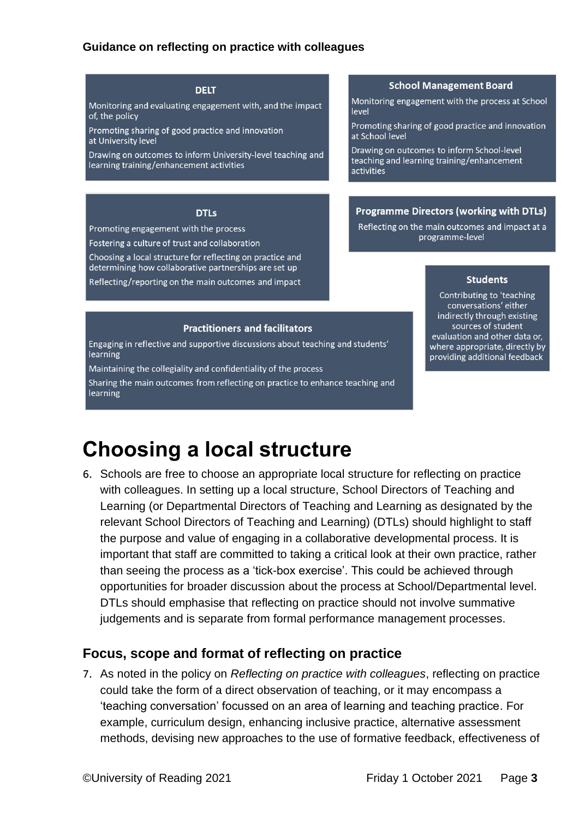#### **DELT**

Monitoring and evaluating engagement with, and the impact of, the policy

Promoting sharing of good practice and innovation at University level

Drawing on outcomes to inform University-level teaching and learning training/enhancement activities

#### **DTLs**

Promoting engagement with the process

Fostering a culture of trust and collaboration

Choosing a local structure for reflecting on practice and determining how collaborative partnerships are set up

Reflecting/reporting on the main outcomes and impact

#### **Practitioners and facilitators**

Engaging in reflective and supportive discussions about teaching and students' learning

Maintaining the collegiality and confidentiality of the process

Sharing the main outcomes from reflecting on practice to enhance teaching and learning

#### **School Management Board**

Monitoring engagement with the process at School level

Promoting sharing of good practice and innovation at School level

Drawing on outcomes to inform School-level teaching and learning training/enhancement activities

#### **Programme Directors (working with DTLs)**

Reflecting on the main outcomes and impact at a programme-level

#### **Students**

Contributing to 'teaching conversations' either indirectly through existing sources of student evaluation and other data or, where appropriate, directly by providing additional feedback

### <span id="page-2-0"></span>**Choosing a local structure**

6. Schools are free to choose an appropriate local structure for reflecting on practice with colleagues. In setting up a local structure, School Directors of Teaching and Learning (or Departmental Directors of Teaching and Learning as designated by the relevant School Directors of Teaching and Learning) (DTLs) should highlight to staff the purpose and value of engaging in a collaborative developmental process. It is important that staff are committed to taking a critical look at their own practice, rather than seeing the process as a 'tick-box exercise'. This could be achieved through opportunities for broader discussion about the process at School/Departmental level. DTLs should emphasise that reflecting on practice should not involve summative judgements and is separate from formal performance management processes.

#### <span id="page-2-1"></span>**Focus, scope and format of reflecting on practice**

7. As noted in the policy on *Reflecting on practice with colleagues*, reflecting on practice could take the form of a direct observation of teaching, or it may encompass a 'teaching conversation' focussed on an area of learning and teaching practice. For example, curriculum design, enhancing inclusive practice, alternative assessment methods, devising new approaches to the use of formative feedback, effectiveness of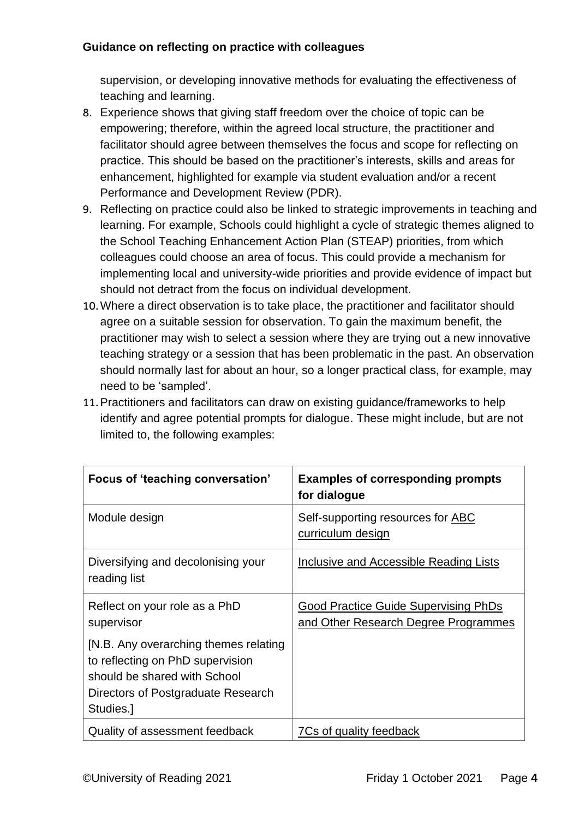supervision, or developing innovative methods for evaluating the effectiveness of teaching and learning.

- 8. Experience shows that giving staff freedom over the choice of topic can be empowering; therefore, within the agreed local structure, the practitioner and facilitator should agree between themselves the focus and scope for reflecting on practice. This should be based on the practitioner's interests, skills and areas for enhancement, highlighted for example via student evaluation and/or a recent Performance and Development Review (PDR).
- 9. Reflecting on practice could also be linked to strategic improvements in teaching and learning. For example, Schools could highlight a cycle of strategic themes aligned to the School Teaching Enhancement Action Plan (STEAP) priorities, from which colleagues could choose an area of focus. This could provide a mechanism for implementing local and university-wide priorities and provide evidence of impact but should not detract from the focus on individual development.
- 10.Where a direct observation is to take place, the practitioner and facilitator should agree on a suitable session for observation. To gain the maximum benefit, the practitioner may wish to select a session where they are trying out a new innovative teaching strategy or a session that has been problematic in the past. An observation should normally last for about an hour, so a longer practical class, for example, may need to be 'sampled'.
- 11.Practitioners and facilitators can draw on existing guidance/frameworks to help identify and agree potential prompts for dialogue. These might include, but are not limited to, the following examples:

| Focus of 'teaching conversation'                                                                                                                             | <b>Examples of corresponding prompts</b><br>for dialogue                            |
|--------------------------------------------------------------------------------------------------------------------------------------------------------------|-------------------------------------------------------------------------------------|
| Module design                                                                                                                                                | Self-supporting resources for ABC<br>curriculum design                              |
| Diversifying and decolonising your<br>reading list                                                                                                           | Inclusive and Accessible Reading Lists                                              |
| Reflect on your role as a PhD<br>supervisor                                                                                                                  | <b>Good Practice Guide Supervising PhDs</b><br>and Other Research Degree Programmes |
| [N.B. Any overarching themes relating<br>to reflecting on PhD supervision<br>should be shared with School<br>Directors of Postgraduate Research<br>Studies.] |                                                                                     |
| Quality of assessment feedback                                                                                                                               | 7Cs of quality feedback                                                             |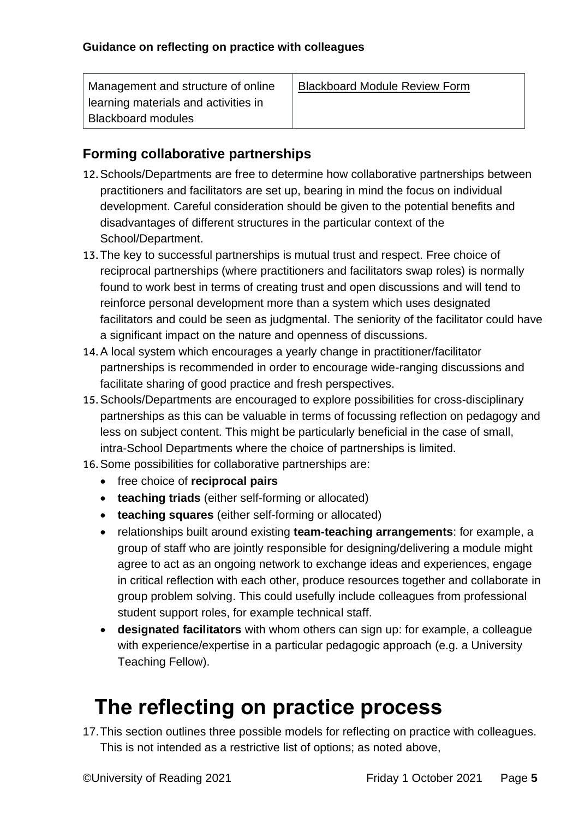| Management and structure of online   | <b>Blackboard Module Review Form</b> |
|--------------------------------------|--------------------------------------|
| learning materials and activities in |                                      |
| <b>Blackboard modules</b>            |                                      |

### <span id="page-4-0"></span>**Forming collaborative partnerships**

- 12.Schools/Departments are free to determine how collaborative partnerships between practitioners and facilitators are set up, bearing in mind the focus on individual development. Careful consideration should be given to the potential benefits and disadvantages of different structures in the particular context of the School/Department.
- 13.The key to successful partnerships is mutual trust and respect. Free choice of reciprocal partnerships (where practitioners and facilitators swap roles) is normally found to work best in terms of creating trust and open discussions and will tend to reinforce personal development more than a system which uses designated facilitators and could be seen as judgmental. The seniority of the facilitator could have a significant impact on the nature and openness of discussions.
- 14.A local system which encourages a yearly change in practitioner/facilitator partnerships is recommended in order to encourage wide-ranging discussions and facilitate sharing of good practice and fresh perspectives.
- 15.Schools/Departments are encouraged to explore possibilities for cross-disciplinary partnerships as this can be valuable in terms of focussing reflection on pedagogy and less on subject content. This might be particularly beneficial in the case of small, intra-School Departments where the choice of partnerships is limited.
- 16.Some possibilities for collaborative partnerships are:
	- free choice of **reciprocal pairs**
	- **teaching triads** (either self-forming or allocated)
	- **teaching squares** (either self-forming or allocated)
	- relationships built around existing **team-teaching arrangements**: for example, a group of staff who are jointly responsible for designing/delivering a module might agree to act as an ongoing network to exchange ideas and experiences, engage in critical reflection with each other, produce resources together and collaborate in group problem solving. This could usefully include colleagues from professional student support roles, for example technical staff.
	- **designated facilitators** with whom others can sign up: for example, a colleague with experience/expertise in a particular pedagogic approach (e.g. a University Teaching Fellow).

# <span id="page-4-1"></span> **The reflecting on practice process**

17.This section outlines three possible models for reflecting on practice with colleagues. This is not intended as a restrictive list of options; as noted above,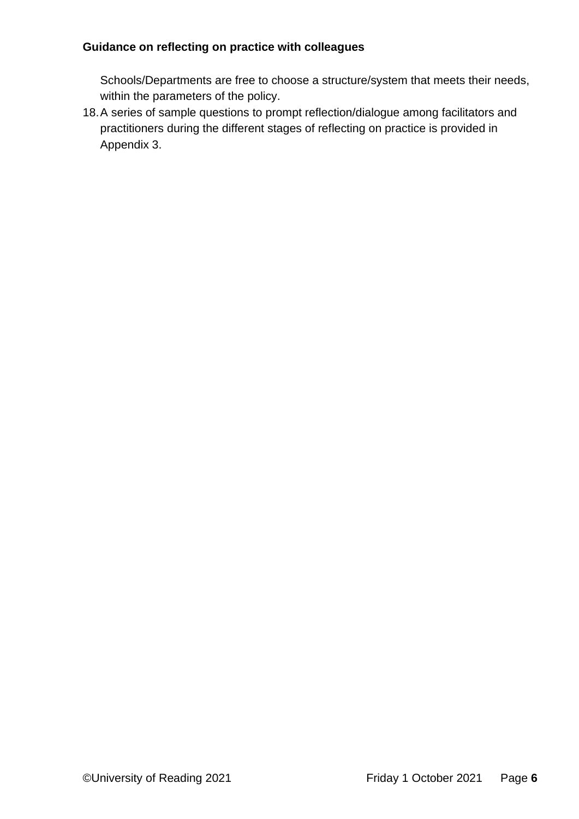Schools/Departments are free to choose a structure/system that meets their needs, within the parameters of the policy.

18.A series of sample questions to prompt reflection/dialogue among facilitators and practitioners during the different stages of reflecting on practice is provided in Appendix 3.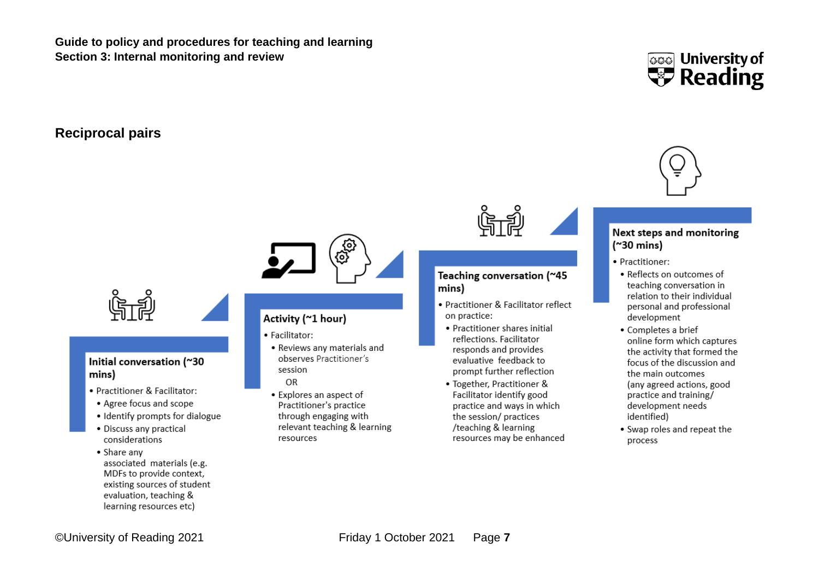**Guide to policy and procedures for teaching and learning Section 3: Internal monitoring and review**

#### **Reciprocal pairs**



#### <span id="page-6-0"></span>Initial conversation (~30 mins)

- Practitioner & Facilitator:
- Agree focus and scope
- Identify prompts for dialogue
- · Discuss any practical considerations
- Share any associated materials (e.g. MDFs to provide context, existing sources of student evaluation, teaching & learning resources etc)

#### Activity (~1 hour)

- · Facilitator:
- Reviews any materials and observes Practitioner's session
- OR
- Explores an aspect of Practitioner's practice through engaging with relevant teaching & learning resources



#### Teaching conversation (~45 mins)

- Practitioner & Facilitator reflect on practice:
	- Practitioner shares initial reflections. Facilitator responds and provides evaluative feedback to prompt further reflection
	- Together, Practitioner & Facilitator identify good practice and ways in which the session/ practices /teaching & learning resources may be enhanced





#### **Next steps and monitoring**  $('30 mins)$

- · Practitioner:
- Reflects on outcomes of teaching conversation in relation to their individual personal and professional development
- · Completes a brief online form which captures the activity that formed the focus of the discussion and the main outcomes (any agreed actions, good practice and training/ development needs identified)
- Swap roles and repeat the process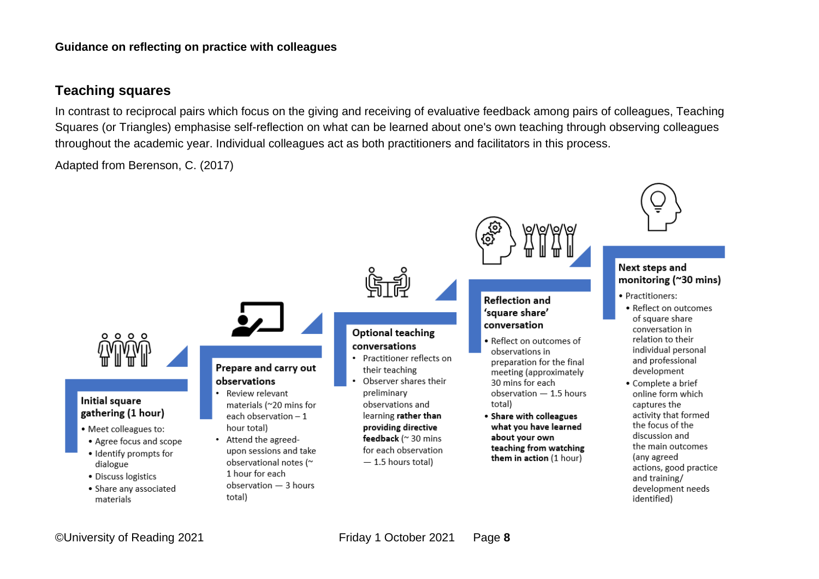#### **Teaching squares**

In contrast to reciprocal pairs which focus on the giving and receiving of evaluative feedback among pairs of colleagues, Teaching Squares (or Triangles) emphasise self-reflection on what can be learned about one's own teaching through observing colleagues throughout the academic year. Individual colleagues act as both practitioners and facilitators in this process.

Adapted from Berenson, C. (2017)

<span id="page-7-0"></span>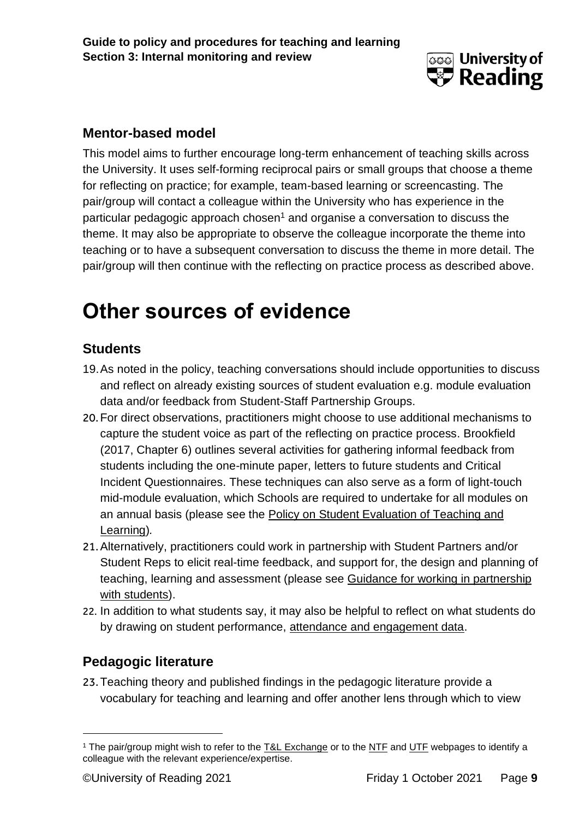

### <span id="page-8-0"></span>**Mentor-based model**

This model aims to further encourage long-term enhancement of teaching skills across the University. It uses self-forming reciprocal pairs or small groups that choose a theme for reflecting on practice; for example, team-based learning or screencasting. The pair/group will contact a colleague within the University who has experience in the particular pedagogic approach chosen<sup>1</sup> and organise a conversation to discuss the theme. It may also be appropriate to observe the colleague incorporate the theme into teaching or to have a subsequent conversation to discuss the theme in more detail. The pair/group will then continue with the reflecting on practice process as described above.

### <span id="page-8-1"></span>**Other sources of evidence**

### <span id="page-8-2"></span>**Students**

- 19.As noted in the policy, teaching conversations should include opportunities to discuss and reflect on already existing sources of student evaluation e.g. module evaluation data and/or feedback from Student-Staff Partnership Groups.
- 20.For direct observations, practitioners might choose to use additional mechanisms to capture the student voice as part of the reflecting on practice process. Brookfield (2017, Chapter 6) outlines several activities for gathering informal feedback from students including the one-minute paper, letters to future students and Critical Incident Questionnaires. These techniques can also serve as a form of light-touch mid-module evaluation, which Schools are required to undertake for all modules on an annual basis (please see the Policy on Student Evaluation of Teaching and [Learning\)](http://www.reading.ac.uk/web/files/cqsd/studentevaluationpolicy.pdf)*.*
- 21.Alternatively, practitioners could work in partnership with Student Partners and/or Student Reps to elicit real-time feedback, and support for, the design and planning of teaching, learning and assessment (please see [Guidance for working in partnership](https://sites.reading.ac.uk/wp-content/uploads/sites/35/2020/10/Partnership-at-UoR-Guide-October-2020.pdf)  [with students\)](https://sites.reading.ac.uk/wp-content/uploads/sites/35/2020/10/Partnership-at-UoR-Guide-October-2020.pdf).
- 22. In addition to what students say, it may also be helpful to reflect on what students do by drawing on student performance, [attendance and engagement data.](http://www.reading.ac.uk/internal/student/AME/ame-supporting-student-attendance-engagement.aspx)

### <span id="page-8-3"></span>**Pedagogic literature**

23.Teaching theory and published findings in the pedagogic literature provide a vocabulary for teaching and learning and offer another lens through which to view

<sup>&</sup>lt;sup>1</sup> The pair/group might wish to refer to the [T&L Exchange](https://sites.reading.ac.uk/t-and-l-exchange/) or to the [NTF](https://www.reading.ac.uk/about/teaching-and-learning/t-and-l-people/t-and-l-ntfs-team.aspx) and [UTF](https://www.reading.ac.uk/about/teaching-and-learning/t-and-l-people/university-teaching-fellows.aspx) webpages to identify a colleague with the relevant experience/expertise.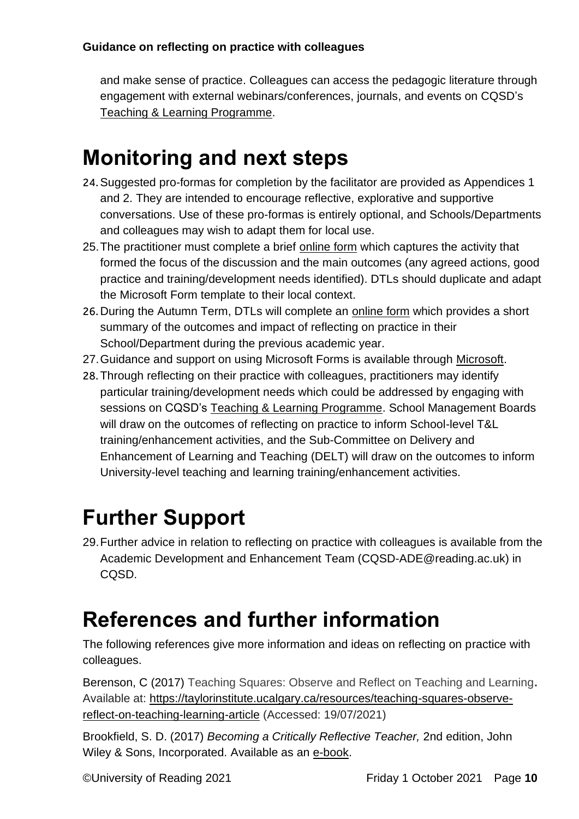and make sense of practice. Colleagues can access the pedagogic literature through engagement with external webinars/conferences, journals, and events on CQSD's [Teaching & Learning Programme.](http://www.reading.ac.uk/reading-cqsd/Developing-and-enhancing/events-and-training/cqsd-events.aspx)

# <span id="page-9-0"></span>**Monitoring and next steps**

- 24.Suggested pro-formas for completion by the facilitator are provided as Appendices 1 and 2. They are intended to encourage reflective, explorative and supportive conversations. Use of these pro-formas is entirely optional, and Schools/Departments and colleagues may wish to adapt them for local use.
- 25. The practitioner must complete a brief [online form](https://forms.office.com/Pages/ShareFormPage.aspx?id=xDv6T_zswEiQgPXkP_kOX8joLPqrbCtHo9tC_hP_qW5URjE4U0o5RlhXTk1EM1ZQMUxGMUtEUFRTOS4u&sharetoken=0dYtsuNfJAZLb2Z5Op70&wdLOR=c389980F3-C417-4430-A564-FF8DCF4D3378) which captures the activity that formed the focus of the discussion and the main outcomes (any agreed actions, good practice and training/development needs identified). DTLs should duplicate and adapt the Microsoft Form template to their local context.
- 26. During the Autumn Term, DTLs will complete an [online form](https://forms.office.com/Pages/ShareFormPage.aspx?id=xDv6T_zswEiQgPXkP_kOX8joLPqrbCtHo9tC_hP_qW5UQzdLM09aVjBMMjU1QlRDU09PSTY2ODQ0Wi4u&sharetoken=2fNNmULPldIC1IfNob9L&wdLOR=c3C22BDF4-0547-43A7-BD12-B3B2DFE583BF) which provides a short summary of the outcomes and impact of reflecting on practice in their School/Department during the previous academic year.
- 27.Guidance and support on using Microsoft Forms is available through [Microsoft.](https://support.microsoft.com/en-us/forms)
- 28.Through reflecting on their practice with colleagues, practitioners may identify particular training/development needs which could be addressed by engaging with sessions on CQSD's [Teaching & Learning Programme.](http://www.reading.ac.uk/reading-cqsd/Developing-and-enhancing/events-and-training/cqsd-events.aspx) School Management Boards will draw on the outcomes of reflecting on practice to inform School-level T&L training/enhancement activities, and the Sub-Committee on Delivery and Enhancement of Learning and Teaching (DELT) will draw on the outcomes to inform University-level teaching and learning training/enhancement activities.

# <span id="page-9-1"></span>**Further Support**

29.Further advice in relation to reflecting on practice with colleagues is available from the Academic Development and Enhancement Team (CQSD-ADE@reading.ac.uk) in CQSD.

# <span id="page-9-2"></span>**References and further information**

The following references give more information and ideas on reflecting on practice with colleagues.

Berenson, C (2017) Teaching Squares: Observe and Reflect on Teaching and Learning**.**  Available at: [https://taylorinstitute.ucalgary.ca/resources/teaching-squares-observe](https://taylorinstitute.ucalgary.ca/resources/teaching-squares-observe-reflect-on-teaching-learning-article)[reflect-on-teaching-learning-article](https://taylorinstitute.ucalgary.ca/resources/teaching-squares-observe-reflect-on-teaching-learning-article) (Accessed: 19/07/2021)

Brookfield, S. D. (2017) *Becoming a Critically Reflective Teacher,* 2nd edition, John Wiley & Sons, Incorporated. Available as an [e-book.](http://ebookcentral.proquest.com/lib/reading/detail.action?docID=4790372)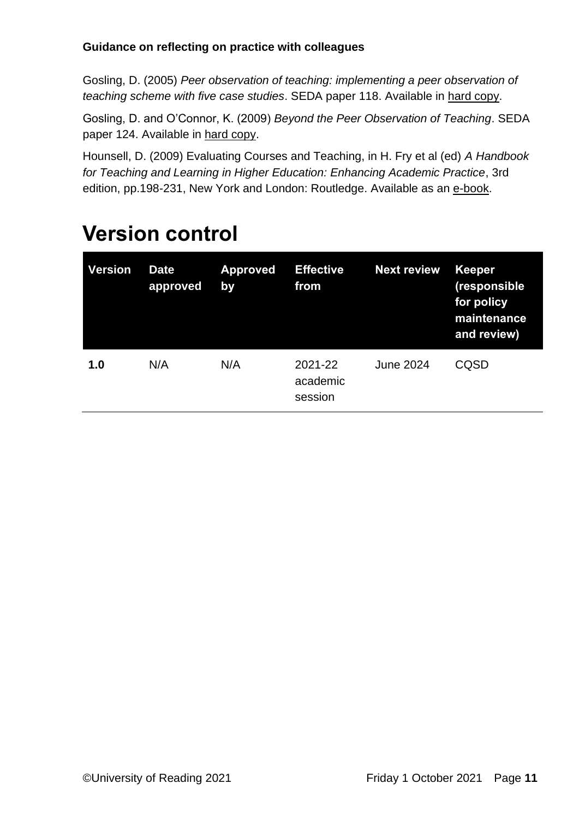Gosling, D. (2005) *Peer observation of teaching: implementing a peer observation of teaching scheme with five case studies*. SEDA paper 118. Available in [hard copy.](https://rdg.ent.sirsidynix.net.uk/client/en_GB/library/search/detailnonmodal/ent:$002f$002fSD_ILS$002f0$002fSD_ILS:1508718/ada?qu=gosling+peer+review&d=ent%3A%2F%2FSD_ILS%2F0%2FSD_ILS%3A1508718%7EILS%7E1&lm=EXCL_LR2)

Gosling, D. and O'Connor, K. (2009) *Beyond the Peer Observation of Teaching*. SEDA paper 124. Available in [hard copy.](https://rdg.ent.sirsidynix.net.uk/client/en_GB/library/search/detailnonmodal/ent:$002f$002fSD_ILS$002f0$002fSD_ILS:1508716/ada?qu=gosling+peer+review&d=ent%3A%2F%2FSD_ILS%2F0%2FSD_ILS%3A1508716%7EILS%7E0&lm=EXCL_LR2)

Hounsell, D. (2009) Evaluating Courses and Teaching, in H. Fry et al (ed) *A Handbook for Teaching and Learning in Higher Education: Enhancing Academic Practice*, 3rd edition, pp.198-231, New York and London: Routledge. Available as an [e-book.](https://ebookcentral.proquest.com/lib/reading/detail.action?milDocID=175387)

| <b>Version</b> | <b>Date</b><br>approved | <b>Approved</b><br>by | <b>Effective</b><br>from       | <b>Next review</b> | <b>Keeper</b><br>(responsible<br>for policy<br>maintenance<br>and review) |
|----------------|-------------------------|-----------------------|--------------------------------|--------------------|---------------------------------------------------------------------------|
| 1.0            | N/A                     | N/A                   | 2021-22<br>academic<br>session | June 2024          | CQSD                                                                      |

### <span id="page-10-0"></span>**Version control**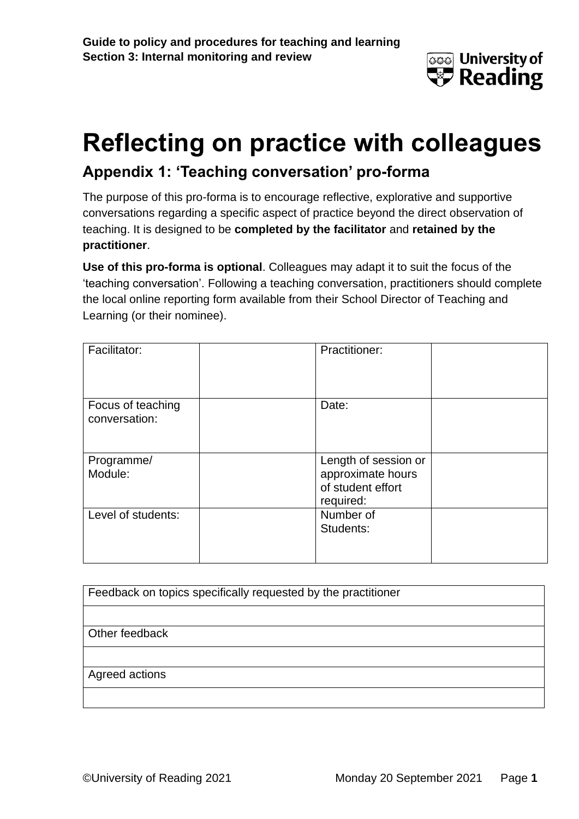

# **Reflecting on practice with colleagues Appendix 1: 'Teaching conversation' pro-forma**

The purpose of this pro-forma is to encourage reflective, explorative and supportive conversations regarding a specific aspect of practice beyond the direct observation of teaching. It is designed to be **completed by the facilitator** and **retained by the practitioner**.

**Use of this pro-forma is optional**. Colleagues may adapt it to suit the focus of the 'teaching conversation'. Following a teaching conversation, practitioners should complete the local online reporting form available from their School Director of Teaching and Learning (or their nominee).

| Facilitator:                       | Practitioner:                                                               |
|------------------------------------|-----------------------------------------------------------------------------|
| Focus of teaching<br>conversation: | Date:                                                                       |
| Programme/<br>Module:              | Length of session or<br>approximate hours<br>of student effort<br>required: |
| Level of students:                 | Number of<br>Students:                                                      |

| Feedback on topics specifically requested by the practitioner |  |  |
|---------------------------------------------------------------|--|--|
|                                                               |  |  |
| Other feedback                                                |  |  |
|                                                               |  |  |
| Agreed actions                                                |  |  |
|                                                               |  |  |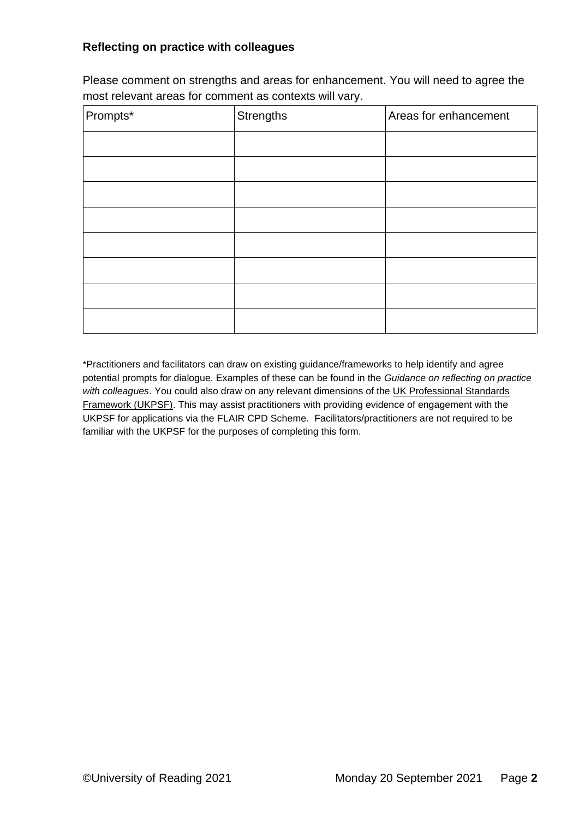Please comment on strengths and areas for enhancement. You will need to agree the most relevant areas for comment as contexts will vary.

| Prompts* | <b>Strengths</b> | Areas for enhancement |
|----------|------------------|-----------------------|
|          |                  |                       |
|          |                  |                       |
|          |                  |                       |
|          |                  |                       |
|          |                  |                       |
|          |                  |                       |
|          |                  |                       |
|          |                  |                       |

\*Practitioners and facilitators can draw on existing guidance/frameworks to help identify and agree potential prompts for dialogue. Examples of these can be found in the *Guidance on reflecting on practice with colleagues*. You could also draw on any relevant dimensions of the [UK Professional Standards](https://www.advance-he.ac.uk/guidance/teaching-and-learning/ukpsf)  [Framework \(UKPSF\).](https://www.advance-he.ac.uk/guidance/teaching-and-learning/ukpsf) This may assist practitioners with providing evidence of engagement with the UKPSF for applications via the FLAIR CPD Scheme. Facilitators/practitioners are not required to be familiar with the UKPSF for the purposes of completing this form.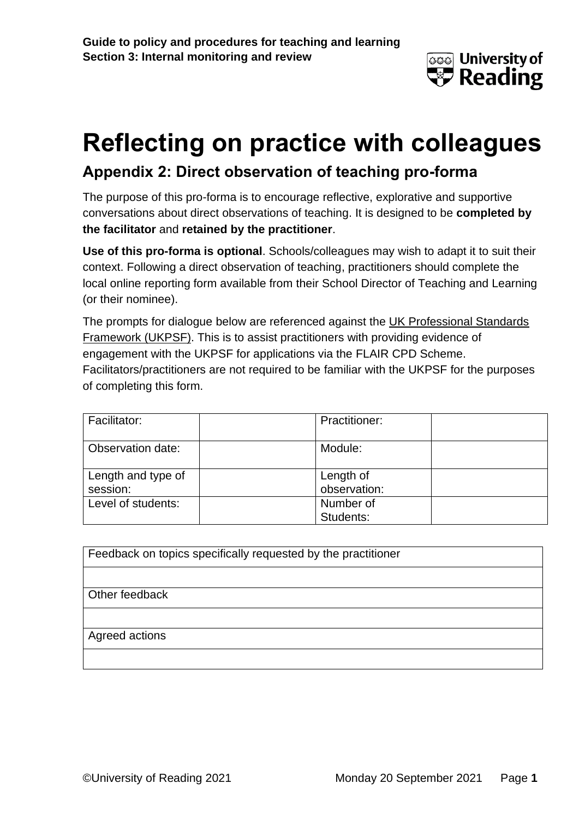

### **Appendix 2: Direct observation of teaching pro-forma**

The purpose of this pro-forma is to encourage reflective, explorative and supportive conversations about direct observations of teaching. It is designed to be **completed by the facilitator** and **retained by the practitioner**.

**Use of this pro-forma is optional**. Schools/colleagues may wish to adapt it to suit their context. Following a direct observation of teaching, practitioners should complete the local online reporting form available from their School Director of Teaching and Learning (or their nominee).

The prompts for dialogue below are referenced against the [UK Professional Standards](https://www.advance-he.ac.uk/guidance/teaching-and-learning/ukpsf)  [Framework \(UKPSF\).](https://www.advance-he.ac.uk/guidance/teaching-and-learning/ukpsf) This is to assist practitioners with providing evidence of engagement with the UKPSF for applications via the FLAIR CPD Scheme. Facilitators/practitioners are not required to be familiar with the UKPSF for the purposes of completing this form.

| Facilitator:       | <b>Practitioner:</b> |
|--------------------|----------------------|
| Observation date:  | Module:              |
| Length and type of | Length of            |
| session:           | observation:         |
| Level of students: | Number of            |
|                    | Students:            |

Other feedback

#### Agreed actions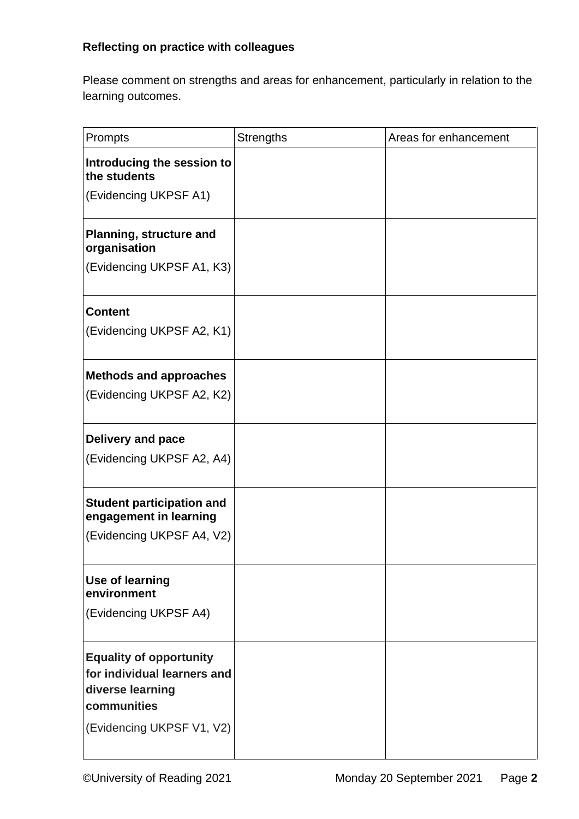Please comment on strengths and areas for enhancement, particularly in relation to the learning outcomes.

| Prompts                                                                                          | <b>Strengths</b> | Areas for enhancement |
|--------------------------------------------------------------------------------------------------|------------------|-----------------------|
| Introducing the session to<br>the students                                                       |                  |                       |
| (Evidencing UKPSF A1)                                                                            |                  |                       |
| <b>Planning, structure and</b><br>organisation                                                   |                  |                       |
| (Evidencing UKPSF A1, K3)                                                                        |                  |                       |
| <b>Content</b>                                                                                   |                  |                       |
| (Evidencing UKPSF A2, K1)                                                                        |                  |                       |
| <b>Methods and approaches</b>                                                                    |                  |                       |
| (Evidencing UKPSF A2, K2)                                                                        |                  |                       |
| <b>Delivery and pace</b>                                                                         |                  |                       |
| (Evidencing UKPSF A2, A4)                                                                        |                  |                       |
| <b>Student participation and</b><br>engagement in learning                                       |                  |                       |
| (Evidencing UKPSF A4, V2)                                                                        |                  |                       |
| Use of learning<br>environment                                                                   |                  |                       |
| (Evidencing UKPSF A4)                                                                            |                  |                       |
| <b>Equality of opportunity</b><br>for individual learners and<br>diverse learning<br>communities |                  |                       |
| (Evidencing UKPSF V1, V2)                                                                        |                  |                       |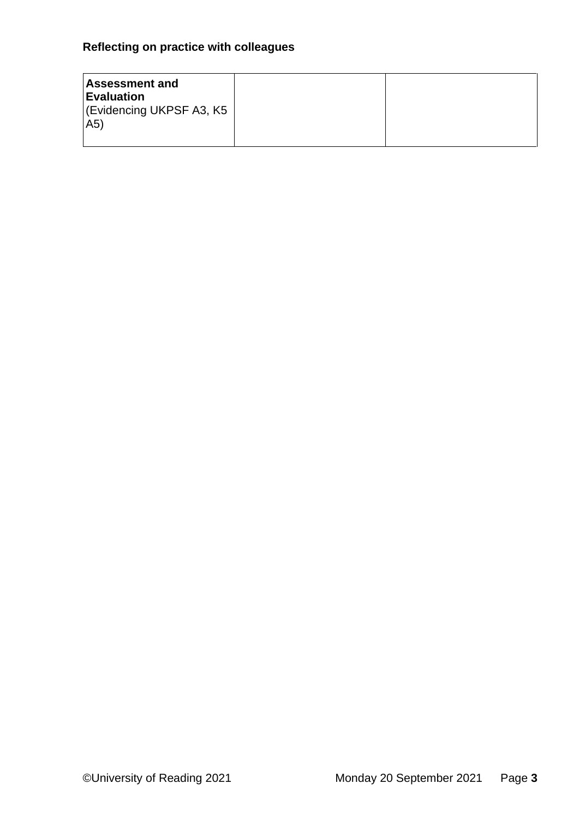| <b>Assessment and</b><br>Evaluation<br> (Evidencing UKPSF A3, K5<br>(A5) |  |
|--------------------------------------------------------------------------|--|
|--------------------------------------------------------------------------|--|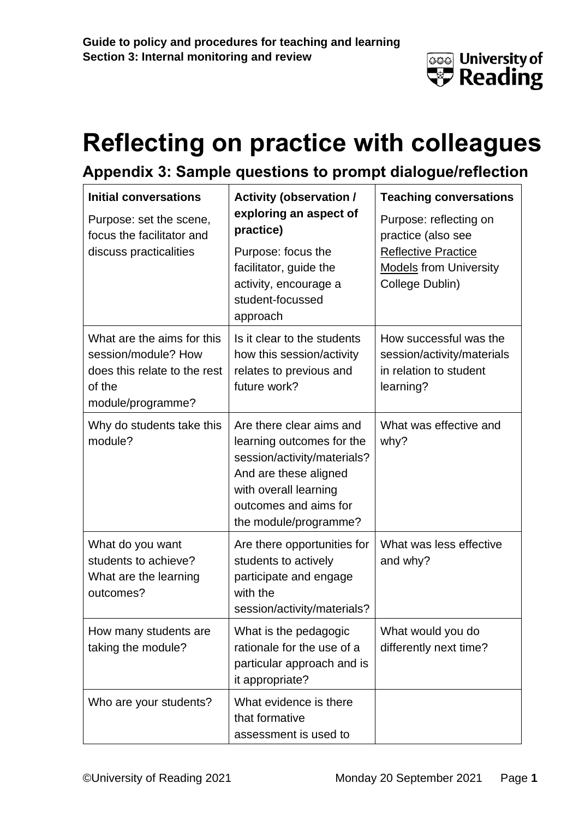

### **Appendix 3: Sample questions to prompt dialogue/reflection**

| <b>Initial conversations</b><br>Purpose: set the scene,<br>focus the facilitator and<br>discuss practicalities   | <b>Activity (observation /</b><br>exploring an aspect of<br>practice)<br>Purpose: focus the<br>facilitator, guide the<br>activity, encourage a<br>student-focussed<br>approach           | <b>Teaching conversations</b><br>Purpose: reflecting on<br>practice (also see<br><b>Reflective Practice</b><br><b>Models from University</b><br>College Dublin) |
|------------------------------------------------------------------------------------------------------------------|------------------------------------------------------------------------------------------------------------------------------------------------------------------------------------------|-----------------------------------------------------------------------------------------------------------------------------------------------------------------|
| What are the aims for this<br>session/module? How<br>does this relate to the rest<br>of the<br>module/programme? | Is it clear to the students<br>how this session/activity<br>relates to previous and<br>future work?                                                                                      | How successful was the<br>session/activity/materials<br>in relation to student<br>learning?                                                                     |
| Why do students take this<br>module?                                                                             | Are there clear aims and<br>learning outcomes for the<br>session/activity/materials?<br>And are these aligned<br>with overall learning<br>outcomes and aims for<br>the module/programme? | What was effective and<br>why?                                                                                                                                  |
| What do you want<br>students to achieve?<br>What are the learning<br>outcomes?                                   | Are there opportunities for<br>students to actively<br>participate and engage<br>with the<br>session/activity/materials?                                                                 | What was less effective<br>and why?                                                                                                                             |
| How many students are<br>taking the module?                                                                      | What is the pedagogic<br>rationale for the use of a<br>particular approach and is<br>it appropriate?                                                                                     | What would you do<br>differently next time?                                                                                                                     |
| Who are your students?                                                                                           | What evidence is there<br>that formative<br>assessment is used to                                                                                                                        |                                                                                                                                                                 |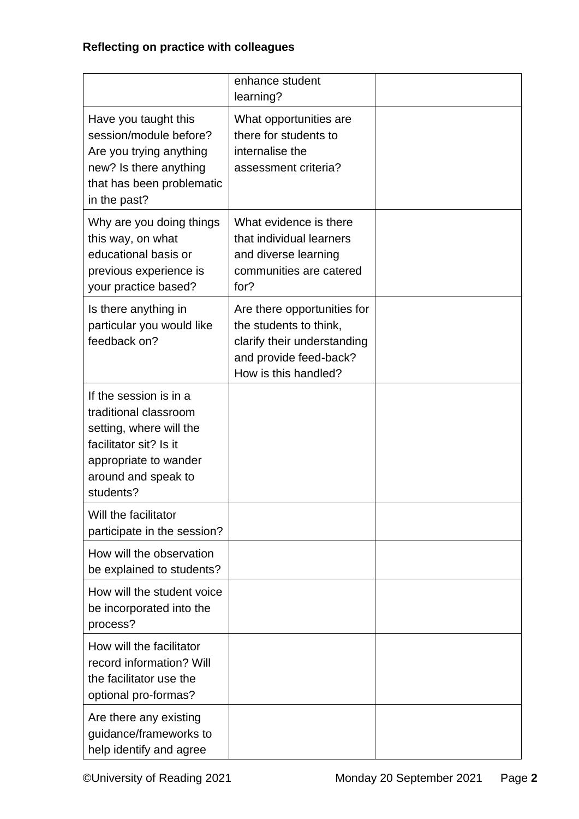|                                                                                                                                                                   | enhance student<br>learning?                                                                                                           |  |
|-------------------------------------------------------------------------------------------------------------------------------------------------------------------|----------------------------------------------------------------------------------------------------------------------------------------|--|
| Have you taught this<br>session/module before?<br>Are you trying anything<br>new? Is there anything<br>that has been problematic<br>in the past?                  | What opportunities are<br>there for students to<br>internalise the<br>assessment criteria?                                             |  |
| Why are you doing things<br>this way, on what<br>educational basis or<br>previous experience is<br>your practice based?                                           | What evidence is there<br>that individual learners<br>and diverse learning<br>communities are catered<br>for?                          |  |
| Is there anything in<br>particular you would like<br>feedback on?                                                                                                 | Are there opportunities for<br>the students to think,<br>clarify their understanding<br>and provide feed-back?<br>How is this handled? |  |
| If the session is in a<br>traditional classroom<br>setting, where will the<br>facilitator sit? Is it<br>appropriate to wander<br>around and speak to<br>students? |                                                                                                                                        |  |
| Will the facilitator<br>participate in the session?                                                                                                               |                                                                                                                                        |  |
| How will the observation<br>be explained to students?                                                                                                             |                                                                                                                                        |  |
| How will the student voice<br>be incorporated into the<br>process?                                                                                                |                                                                                                                                        |  |
| How will the facilitator<br>record information? Will<br>the facilitator use the<br>optional pro-formas?                                                           |                                                                                                                                        |  |
| Are there any existing<br>guidance/frameworks to<br>help identify and agree                                                                                       |                                                                                                                                        |  |